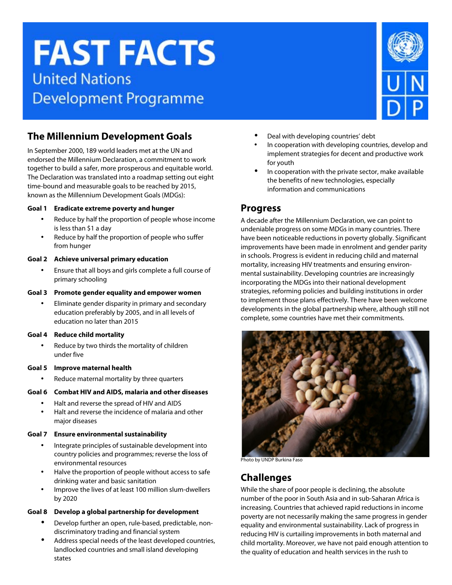# **FAST FACTS United Nations Development Programme**

## **The Millennium Development Goals**

In September 2000, 189 world leaders met at the UN and endorsed the Millennium Declaration, a commitment to work together to build a safer, more prosperous and equitable world. The Declaration was translated into a roadmap setting out eight time-bound and measurable goals to be reached by 2015, known as the Millennium Development Goals (MDGs):

#### **Goal 1 Eradicate extreme poverty and hunger**

- Reduce by half the proportion of people whose income is less than \$1 a day
- Reduce by half the proportion of people who suffer from hunger

#### **Goal 2 Achieve universal primary education**

• Ensure that all boys and girls complete a full course of primary schooling

#### **Goal 3 Promote gender equality and empower women**

• Eliminate gender disparity in primary and secondary education preferably by 2005, and in all levels of education no later than 2015

#### **Goal 4 Reduce child mortality**

Reduce by two thirds the mortality of children under five

#### **Goal 5 Improve maternal health**

Reduce maternal mortality by three quarters

#### **Goal 6 Combat HIV and AIDS, malaria and other diseases**

- Halt and reverse the spread of HIV and AIDS
- Halt and reverse the incidence of malaria and other major diseases

#### **Goal 7 Ensure environmental sustainability**

- Integrate principles of sustainable development into country policies and programmes; reverse the loss of environmental resources
- Halve the proportion of people without access to safe drinking water and basic sanitation
- Improve the lives of at least 100 million slum-dwellers by 2020

#### **Goal 8 Develop a global partnership for development**

- Develop further an open, rule-based, predictable, nondiscriminatory trading and financial system
- Address special needs of the least developed countries, landlocked countries and small island developing states
- Deal with developing countries' debt
- In cooperation with developing countries, develop and implement strategies for decent and productive work for youth
- In cooperation with the private sector, make available the benefits of new technologies, especially information and communications

### **Progress**

A decade after the Millennium Declaration, we can point to undeniable progress on some MDGs in many countries. There have been noticeable reductions in poverty globally. Significant improvements have been made in enrolment and gender parity in schools. Progress is evident in reducing child and maternal mortality, increasing HIV treatments and ensuring environmental sustainability. Developing countries are increasingly incorporating the MDGs into their national development strategies, reforming policies and building institutions in order to implement those plans effectively. There have been welcome developments in the global partnership where, although still not complete, some countries have met their commitments.



Photo by UNDP Burkina Faso

## **Challenges**

While the share of poor people is declining, the absolute number of the poor in South Asia and in sub-Saharan Africa is increasing. Countries that achieved rapid reductions in income poverty are not necessarily making the same progress in gender equality and environmental sustainability. Lack of progress in reducing HIV is curtailing improvements in both maternal and child mortality. Moreover, we have not paid enough attention to the quality of education and health services in the rush to